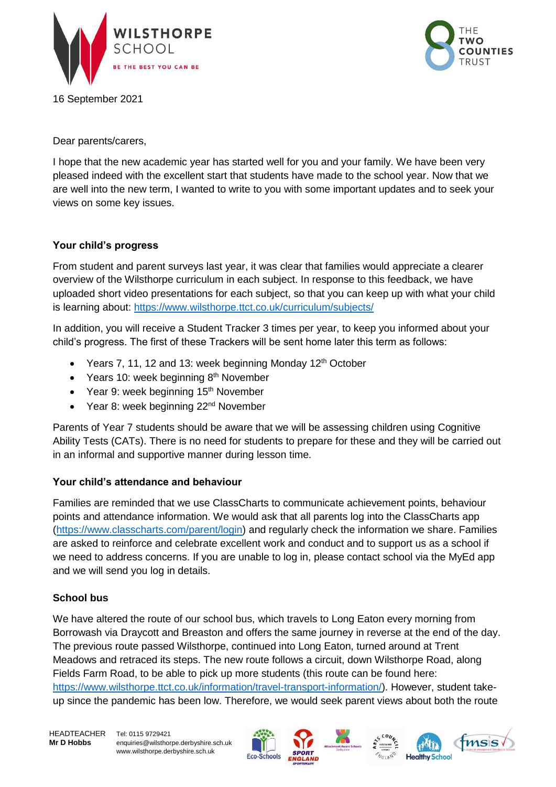

16 September 2021



Dear parents/carers,

I hope that the new academic year has started well for you and your family. We have been very pleased indeed with the excellent start that students have made to the school year. Now that we are well into the new term, I wanted to write to you with some important updates and to seek your views on some key issues.

# **Your child's progress**

From student and parent surveys last year, it was clear that families would appreciate a clearer overview of the Wilsthorpe curriculum in each subject. In response to this feedback, we have uploaded short video presentations for each subject, so that you can keep up with what your child is learning about:<https://www.wilsthorpe.ttct.co.uk/curriculum/subjects/>

In addition, you will receive a Student Tracker 3 times per year, to keep you informed about your child's progress. The first of these Trackers will be sent home later this term as follows:

- Years 7, 11, 12 and 13: week beginning Monday 12<sup>th</sup> October
- Years 10: week beginning  $8<sup>th</sup>$  November
- Year 9: week beginning  $15<sup>th</sup>$  November
- Year 8: week beginning 22<sup>nd</sup> November

Parents of Year 7 students should be aware that we will be assessing children using Cognitive Ability Tests (CATs). There is no need for students to prepare for these and they will be carried out in an informal and supportive manner during lesson time.

# **Your child's attendance and behaviour**

Families are reminded that we use ClassCharts to communicate achievement points, behaviour points and attendance information. We would ask that all parents log into the ClassCharts app [\(https://www.classcharts.com/parent/login\)](https://www.classcharts.com/parent/login) and regularly check the information we share. Families are asked to reinforce and celebrate excellent work and conduct and to support us as a school if we need to address concerns. If you are unable to log in, please contact school via the MyEd app and we will send you log in details.

# **School bus**

We have altered the route of our school bus, which travels to Long Eaton every morning from Borrowash via Draycott and Breaston and offers the same journey in reverse at the end of the day. The previous route passed Wilsthorpe, continued into Long Eaton, turned around at Trent Meadows and retraced its steps. The new route follows a circuit, down Wilsthorpe Road, along Fields Farm Road, to be able to pick up more students (this route can be found here: [https://www.wilsthorpe.ttct.co.uk/information/travel-transport-information/\)](https://www.wilsthorpe.ttct.co.uk/information/travel-transport-information/). However, student takeup since the pandemic has been low. Therefore, we would seek parent views about both the route

HEADTEACHER Tel: 0115 9729421

**Mr D Hobbs** [enquiries@wilsthorpe.derbyshire.sch.uk](mailto:enquiries@wilsthorpe.derbyshire.sch.uk) www.wilsthorpe.derbyshire.sch.uk